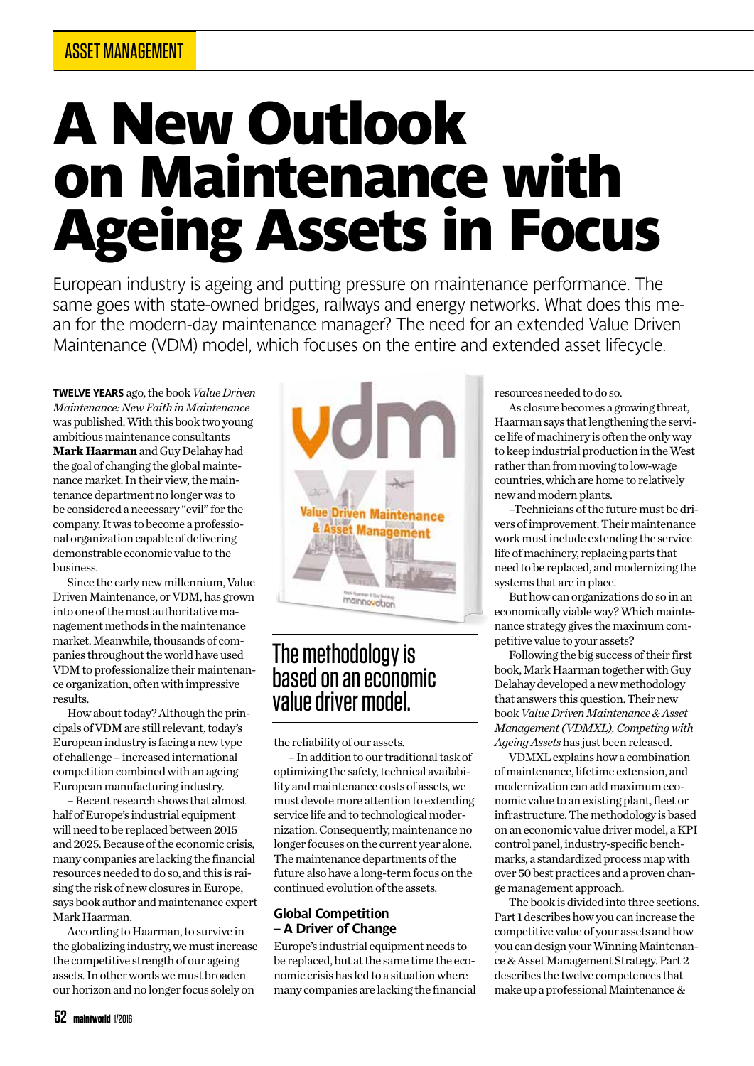# A New Outlook on Maintenance with Ageing Assets in Focus

**European industry is ageing and putting pressure on maintenance performance. The same goes with state-owned bridges, railways and energy networks. What does this mean for the modern-day maintenance manager? The need for an extended Value Driven Maintenance (VDM) model, which focuses on the entire and extended asset lifecycle.**

**TWELVE YEARS** ago, the book *Value Driven Maintenance: New Faith in Maintenance* was published. With this book two young ambitious maintenance consultants **Mark Haarman** and Guy Delahay had the goal of changing the global maintenance market. In their view, the maintenance department no longer was to be considered a necessary "evil" for the company. It was to become a professional organization capable of delivering demonstrable economic value to the business.

Since the early new millennium, Value Driven Maintenance, or VDM, has grown into one of the most authoritative management methods in the maintenance market. Meanwhile, thousands of companies throughout the world have used VDM to professionalize their maintenance organization, often with impressive results.

How about today? Although the principals of VDM are still relevant, today's European industry is facing a new type of challenge – increased international competition combined with an ageing European manufacturing industry.

– Recent research shows that almost half of Europe's industrial equipment will need to be replaced between 2015 and 2025. Because of the economic crisis, many companies are lacking the financial resources needed to do so, and this is raising the risk of new closures in Europe, says book author and maintenance expert Mark Haarman.

According to Haarman, to survive in the globalizing industry, we must increase the competitive strength of our ageing assets. In other words we must broaden our horizon and no longer focus solely on



### The methodology is based on an economic value driver model.

the reliability of our assets.

– In addition to our traditional task of optimizing the safety, technical availability and maintenance costs of assets, we must devote more attention to extending service life and to technological modernization. Consequently, maintenance no longer focuses on the current year alone. The maintenance departments of the future also have a long-term focus on the continued evolution of the assets.

### **Global Competition – A Driver of Change**

Europe's industrial equipment needs to be replaced, but at the same time the economic crisis has led to a situation where many companies are lacking the financial resources needed to do so.

As closure becomes a growing threat, Haarman says that lengthening the service life of machinery is often the only way to keep industrial production in the West rather than from moving to low-wage countries, which are home to relatively new and modern plants.

–Technicians of the future must be drivers of improvement. Their maintenance work must include extending the service life of machinery, replacing parts that need to be replaced, and modernizing the systems that are in place.

But how can organizations do so in an economically viable way? Which maintenance strategy gives the maximum competitive value to your assets?

Following the big success of their first book, Mark Haarman together with Guy Delahay developed a new methodology that answers this question. Their new book *Value Driven Maintenance & Asset Management (VDMXL), Competing with Ageing Assets* has just been released.

VDMXL explains how a combination of maintenance, lifetime extension, and modernization can add maximum economic value to an existing plant, fleet or infrastructure. The methodology is based on an economic value driver model, a KPI control panel, industry-specific benchmarks, a standardized process map with over 50 best practices and a proven change management approach.

The book is divided into three sections. Part 1 describes how you can increase the competitive value of your assets and how you can design your Winning Maintenance & Asset Management Strategy. Part 2 describes the twelve competences that make up a professional Maintenance &